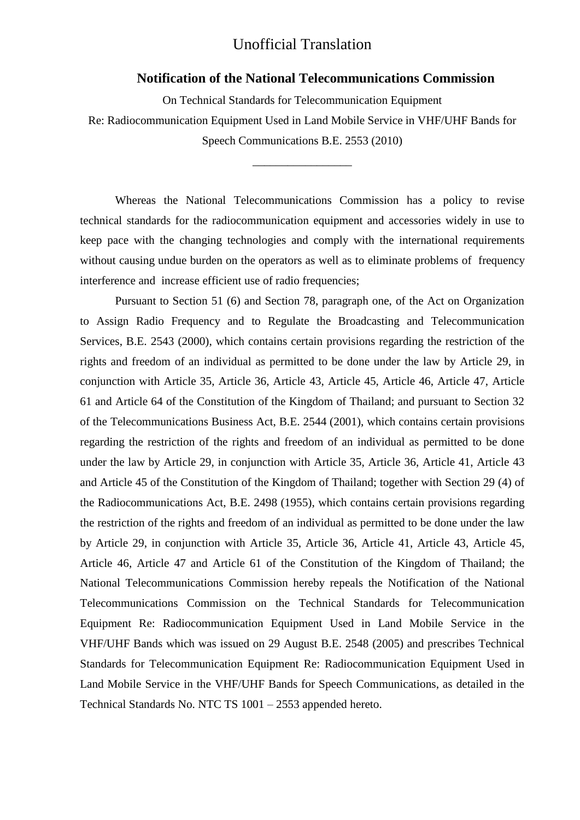### **Notification of the National Telecommunications Commission**

On Technical Standards for Telecommunication Equipment

Re: Radiocommunication Equipment Used in Land Mobile Service in VHF/UHF Bands for Speech Communications B.E. 2553 (2010)

\_\_\_\_\_\_\_\_\_\_\_\_\_\_\_\_\_

Whereas the National Telecommunications Commission has a policy to revise technical standards for the radiocommunication equipment and accessories widely in use to keep pace with the changing technologies and comply with the international requirements without causing undue burden on the operators as well as to eliminate problems of frequency interference and increase efficient use of radio frequencies;

Pursuant to Section 51 (6) and Section 78, paragraph one, of the Act on Organization to Assign Radio Frequency and to Regulate the Broadcasting and Telecommunication Services, B.E. 2543 (2000), which contains certain provisions regarding the restriction of the rights and freedom of an individual as permitted to be done under the law by Article 29, in conjunction with Article 35, Article 36, Article 43, Article 45, Article 46, Article 47, Article 61 and Article 64 of the Constitution of the Kingdom of Thailand; and pursuant to Section 32 of the Telecommunications Business Act, B.E. 2544 (2001), which contains certain provisions regarding the restriction of the rights and freedom of an individual as permitted to be done under the law by Article 29, in conjunction with Article 35, Article 36, Article 41, Article 43 and Article 45 of the Constitution of the Kingdom of Thailand; together with Section 29 (4) of the Radiocommunications Act, B.E. 2498 (1955), which contains certain provisions regarding the restriction of the rights and freedom of an individual as permitted to be done under the law by Article 29, in conjunction with Article 35, Article 36, Article 41, Article 43, Article 45, Article 46, Article 47 and Article 61 of the Constitution of the Kingdom of Thailand; the National Telecommunications Commission hereby repeals the Notification of the National Telecommunications Commission on the Technical Standards for Telecommunication Equipment Re: Radiocommunication Equipment Used in Land Mobile Service in the VHF/UHF Bands which was issued on 29 August B.E. 2548 (2005) and prescribes Technical Standards for Telecommunication Equipment Re: Radiocommunication Equipment Used in Land Mobile Service in the VHF/UHF Bands for Speech Communications, as detailed in the Technical Standards No. NTC TS 1001 – 2553 appended hereto.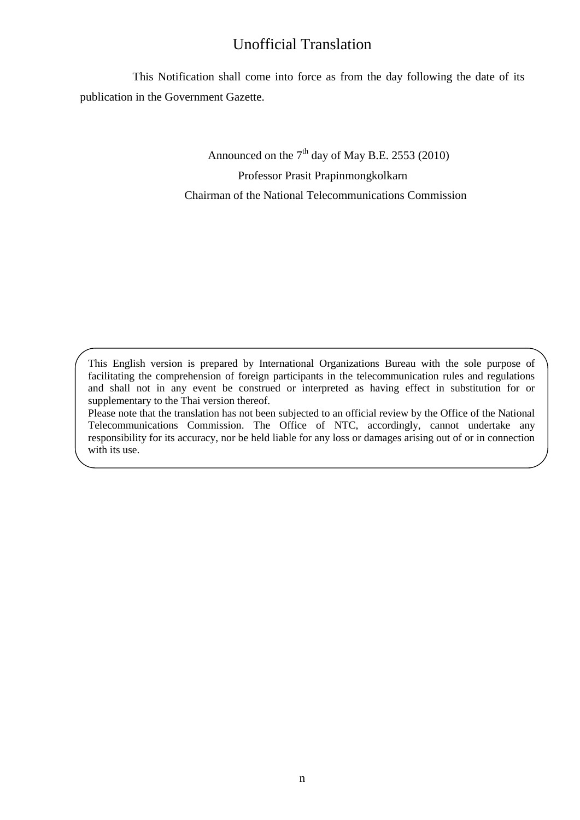This Notification shall come into force as from the day following the date of its publication in the Government Gazette.

> Announced on the  $7<sup>th</sup>$  day of May B.E. 2553 (2010) Professor Prasit Prapinmongkolkarn

Chairman of the National Telecommunications Commission

This English version is prepared by International Organizations Bureau with the sole purpose of facilitating the comprehension of foreign participants in the telecommunication rules and regulations and shall not in any event be construed or interpreted as having effect in substitution for or supplementary to the Thai version thereof.

Please note that the translation has not been subjected to an official review by the Office of the National Telecommunications Commission. The Office of NTC, accordingly, cannot undertake any responsibility for its accuracy, nor be held liable for any loss or damages arising out of or in connection with its use.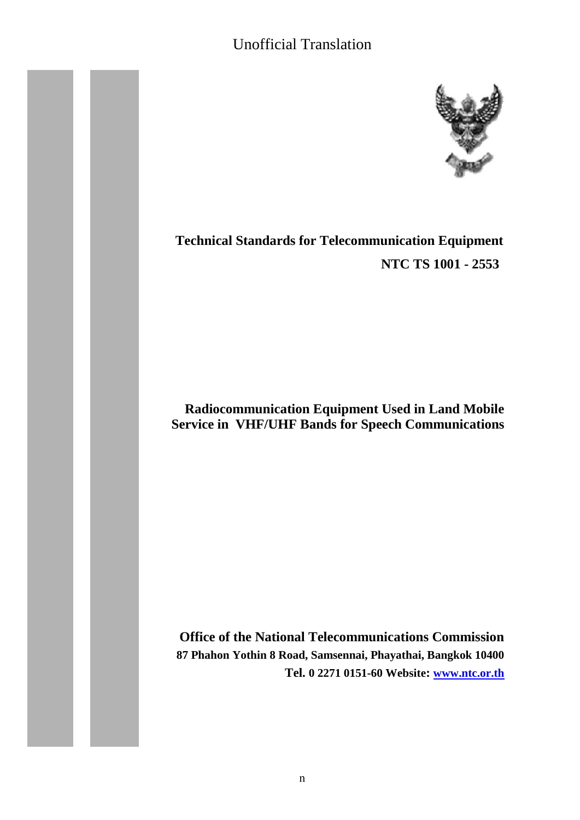

# **Technical Standards for Telecommunication Equipment NTC TS 1001 - 2553**

## **Radiocommunication Equipment Used in Land Mobile Service in VHF/UHF Bands for Speech Communications**

**Office of the National Telecommunications Commission 87 Phahon Yothin 8 Road, Samsennai, Phayathai, Bangkok 10400 Tel. 0 2271 0151-60 Website: [www.ntc.or.th](http://www.ntc.or.th/)**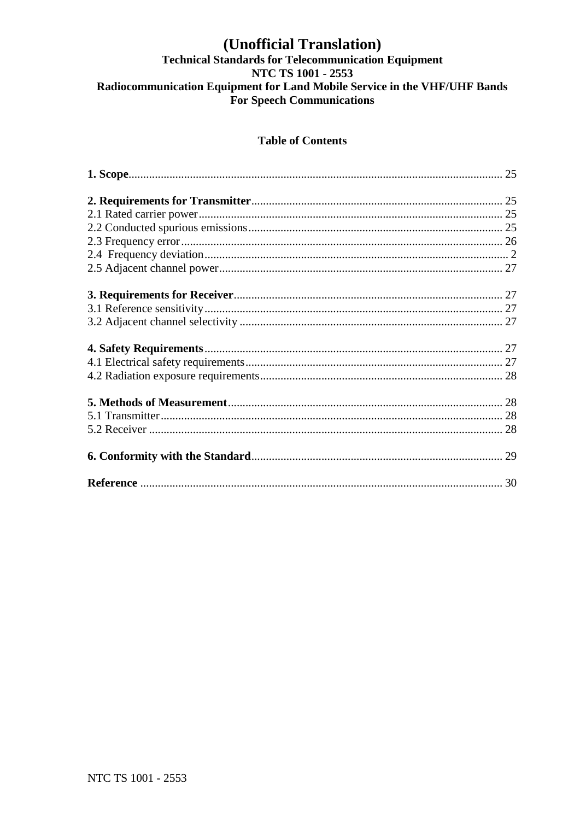# (Unofficial Translation)<br>Technical Standards for Telecommunication Equipment NTC TS 1001 - 2553 Radiocommunication Equipment for Land Mobile Service in the VHF/UHF Bands For Speech Communications

## **Table of Contents**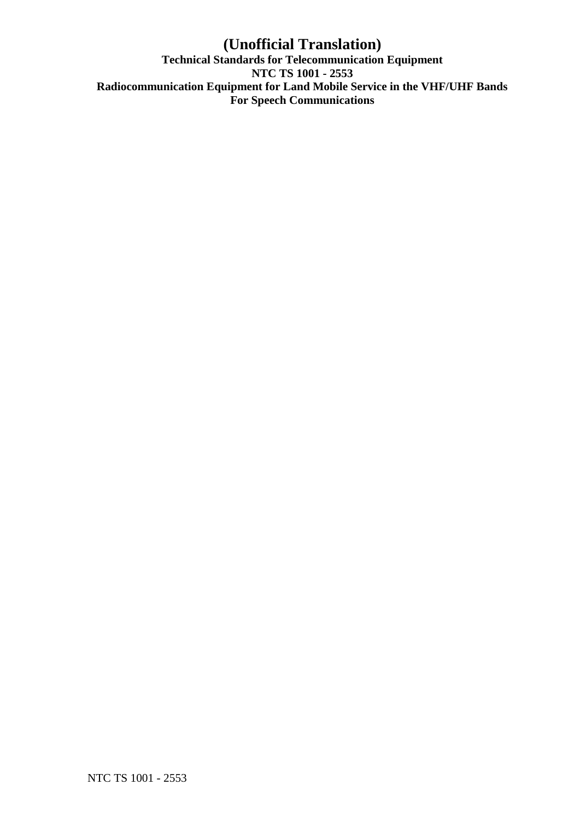## **(Unofficial Translation) Technical Standards for Telecommunication Equipment NTC TS 1001 - 2553 Radiocommunication Equipment for Land Mobile Service in the VHF/UHF Bands For Speech Communications**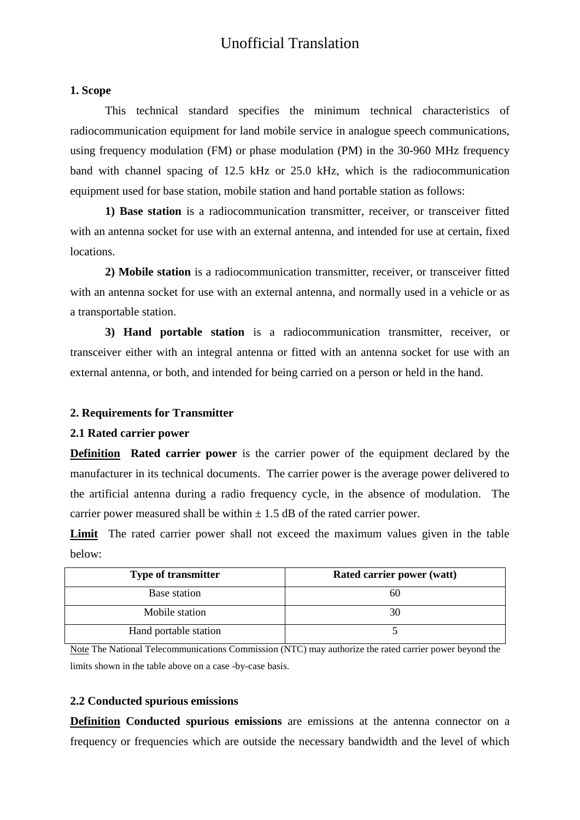#### <span id="page-5-0"></span>**1. Scope**

This technical standard specifies the minimum technical characteristics of radiocommunication equipment for land mobile service in analogue speech communications, using frequency modulation (FM) or phase modulation (PM) in the 30-960 MHz frequency band with channel spacing of 12.5 kHz or 25.0 kHz, which is the radiocommunication equipment used for base station, mobile station and hand portable station as follows:

**1) Base station** is a radiocommunication transmitter, receiver, or transceiver fitted with an antenna socket for use with an external antenna, and intended for use at certain, fixed locations.

**2) Mobile station** is a radiocommunication transmitter, receiver, or transceiver fitted with an antenna socket for use with an external antenna, and normally used in a vehicle or as a transportable station.

**3) Hand portable station** is a radiocommunication transmitter, receiver, or transceiver either with an integral antenna or fitted with an antenna socket for use with an external antenna, or both, and intended for being carried on a person or held in the hand.

### <span id="page-5-1"></span>**2. Requirements for Transmitter**

### <span id="page-5-2"></span>**2.1 Rated carrier power**

**Definition Rated carrier power** is the carrier power of the equipment declared by the manufacturer in its technical documents. The carrier power is the average power delivered to the artificial antenna during a radio frequency cycle, in the absence of modulation. The carrier power measured shall be within  $\pm$  1.5 dB of the rated carrier power.

**Limit** The rated carrier power shall not exceed the maximum values given in the table below:

| <b>Type of transmitter</b> | Rated carrier power (watt) |
|----------------------------|----------------------------|
| Base station               | 60                         |
| Mobile station             |                            |
| Hand portable station      |                            |

Note The National Telecommunications Commission (NTC) may authorize the rated carrier power beyond the limits shown in the table above on a case -by-case basis.

### <span id="page-5-3"></span>**2.2 Conducted spurious emissions**

**Definition Conducted spurious emissions** are emissions at the antenna connector on a frequency or frequencies which are outside the necessary bandwidth and the level of which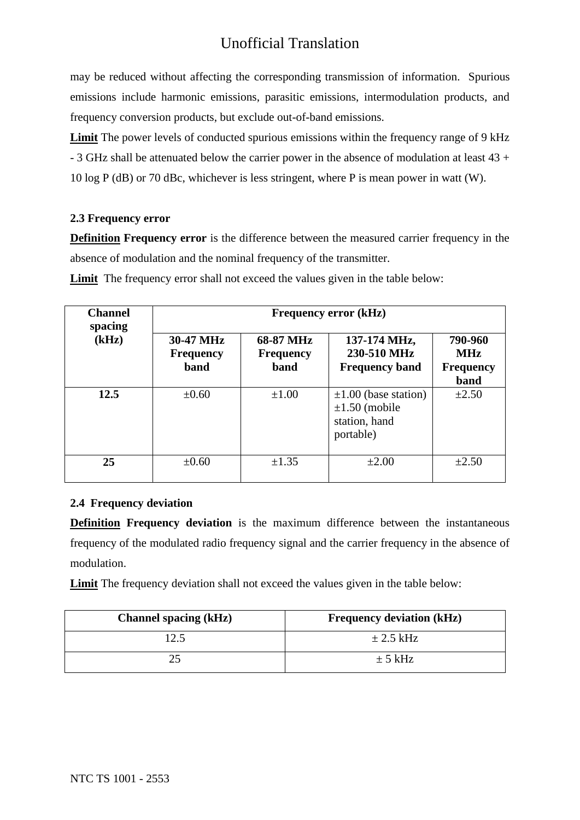may be reduced without affecting the corresponding transmission of information. Spurious emissions include harmonic emissions, parasitic emissions, intermodulation products, and frequency conversion products, but exclude out-of-band emissions.

**Limit** The power levels of conducted spurious emissions within the frequency range of 9 kHz - 3 GHz shall be attenuated below the carrier power in the absence of modulation at least 43 + 10 log P (dB) or 70 dBc, whichever is less stringent, where P is mean power in watt (W).

### <span id="page-6-0"></span>**2.3 Frequency error**

**Definition Frequency error** is the difference between the measured carrier frequency in the absence of modulation and the nominal frequency of the transmitter.

| <b>Channel</b><br>spacing | <b>Frequency error (kHz)</b>          |                                       |                                                                               |                                                   |
|---------------------------|---------------------------------------|---------------------------------------|-------------------------------------------------------------------------------|---------------------------------------------------|
| (kHz)                     | 30-47 MHz<br><b>Frequency</b><br>band | 68-87 MHz<br><b>Frequency</b><br>band | 137-174 MHz,<br>230-510 MHz<br><b>Frequency band</b>                          | 790-960<br><b>MHz</b><br><b>Frequency</b><br>band |
| 12.5                      | $\pm 0.60$                            | $\pm 1.00$                            | $\pm 1.00$ (base station)<br>$\pm 1.50$ (mobile<br>station, hand<br>portable) | $\pm 2.50$                                        |
| 25                        | $\pm 0.60$                            | $\pm 1.35$                            | $\pm 2.00$                                                                    | $\pm 2.50$                                        |

**Limit** The frequency error shall not exceed the values given in the table below:

## <span id="page-6-1"></span>**2.4 Frequency deviation**

**Definition Frequency deviation** is the maximum difference between the instantaneous frequency of the modulated radio frequency signal and the carrier frequency in the absence of modulation.

**Limit** The frequency deviation shall not exceed the values given in the table below:

| <b>Channel spacing (kHz)</b> | <b>Frequency deviation (kHz)</b> |
|------------------------------|----------------------------------|
| 12.5                         | $\pm$ 2.5 kHz                    |
|                              | $\pm$ 5 kHz                      |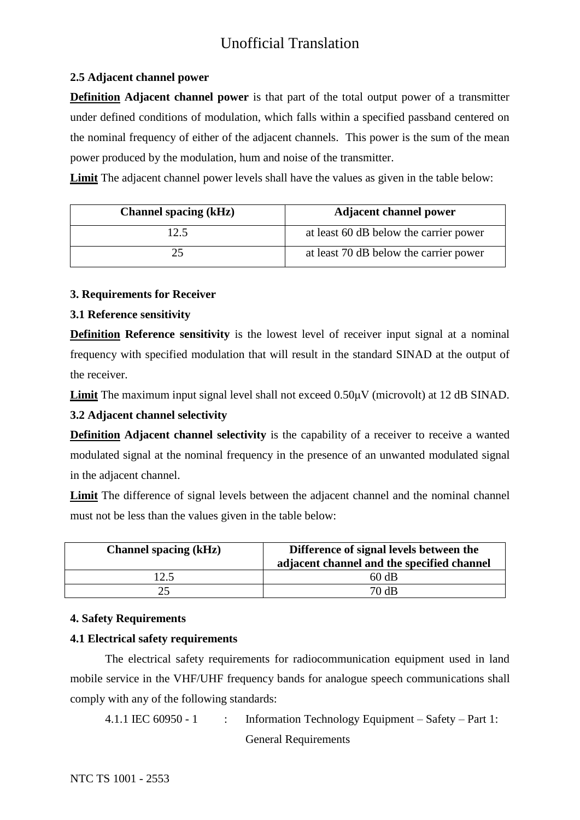## <span id="page-7-0"></span>**2.5 Adjacent channel power**

**Definition Adjacent channel power** is that part of the total output power of a transmitter under defined conditions of modulation, which falls within a specified passband centered on the nominal frequency of either of the adjacent channels. This power is the sum of the mean power produced by the modulation, hum and noise of the transmitter.

**Limit** The adjacent channel power levels shall have the values as given in the table below:

| <b>Channel spacing (kHz)</b> | <b>Adjacent channel power</b>          |
|------------------------------|----------------------------------------|
| 12.5                         | at least 60 dB below the carrier power |
|                              | at least 70 dB below the carrier power |

## <span id="page-7-1"></span>**3. Requirements for Receiver**

## <span id="page-7-2"></span>**3.1 Reference sensitivity**

**Definition Reference sensitivity** is the lowest level of receiver input signal at a nominal frequency with specified modulation that will result in the standard SINAD at the output of the receiver.

**Limit** The maximum input signal level shall not exceed 0.50μV (microvolt) at 12 dB SINAD.

## <span id="page-7-3"></span>**3.2 Adjacent channel selectivity**

**Definition Adjacent channel selectivity** is the capability of a receiver to receive a wanted modulated signal at the nominal frequency in the presence of an unwanted modulated signal in the adjacent channel.

**Limit** The difference of signal levels between the adjacent channel and the nominal channel must not be less than the values given in the table below:

| <b>Channel spacing (kHz)</b> | Difference of signal levels between the<br>adjacent channel and the specified channel |
|------------------------------|---------------------------------------------------------------------------------------|
| 12.5                         | 60 dB                                                                                 |
|                              | 70 dB                                                                                 |

## <span id="page-7-4"></span>**4. Safety Requirements**

## <span id="page-7-5"></span>**4.1 Electrical safety requirements**

The electrical safety requirements for radiocommunication equipment used in land mobile service in the VHF/UHF frequency bands for analogue speech communications shall comply with any of the following standards:

4.1.1 IEC 60950 - 1 : Information Technology Equipment – Safety – Part 1: General Requirements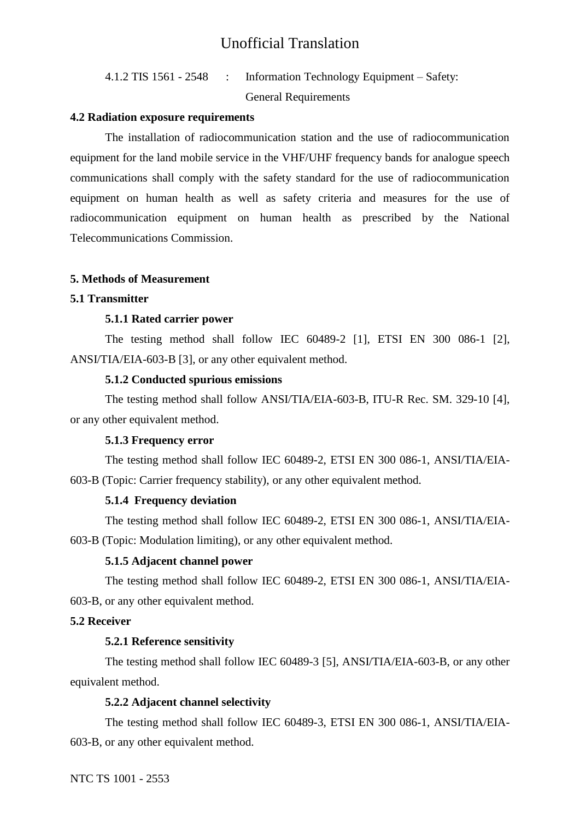4.1.2 TIS 1561 - 2548 : Information Technology Equipment – Safety: General Requirements

#### <span id="page-8-0"></span>**4.2 Radiation exposure requirements**

The installation of radiocommunication station and the use of radiocommunication equipment for the land mobile service in the VHF/UHF frequency bands for analogue speech communications shall comply with the safety standard for the use of radiocommunication equipment on human health as well as safety criteria and measures for the use of radiocommunication equipment on human health as prescribed by the National Telecommunications Commission.

#### <span id="page-8-1"></span>**5. Methods of Measurement**

#### <span id="page-8-2"></span>**5.1 Transmitter**

#### **5.1.1 Rated carrier power**

The testing method shall follow IEC 60489-2 [1], ETSI EN 300 086-1 [2], ANSI/TIA/EIA-603-B [3], or any other equivalent method.

### **5.1.2 Conducted spurious emissions**

The testing method shall follow ANSI/TIA/EIA-603-B, ITU-R Rec. SM. 329-10 [4], or any other equivalent method.

#### **5.1.3 Frequency error**

The testing method shall follow IEC 60489-2, ETSI EN 300 086-1, ANSI/TIA/EIA-603-B (Topic: Carrier frequency stability), or any other equivalent method.

#### **5.1.4 Frequency deviation**

The testing method shall follow IEC 60489-2, ETSI EN 300 086-1, ANSI/TIA/EIA-603-B (Topic: Modulation limiting), or any other equivalent method.

### **5.1.5 Adjacent channel power**

The testing method shall follow IEC 60489-2, ETSI EN 300 086-1, ANSI/TIA/EIA-603-B, or any other equivalent method.

#### <span id="page-8-3"></span>**5.2 Receiver**

#### **5.2.1 Reference sensitivity**

The testing method shall follow IEC 60489-3 [5], ANSI/TIA/EIA-603-B, or any other equivalent method.

#### **5.2.2 Adjacent channel selectivity**

The testing method shall follow IEC 60489-3, ETSI EN 300 086-1, ANSI/TIA/EIA-603-B, or any other equivalent method.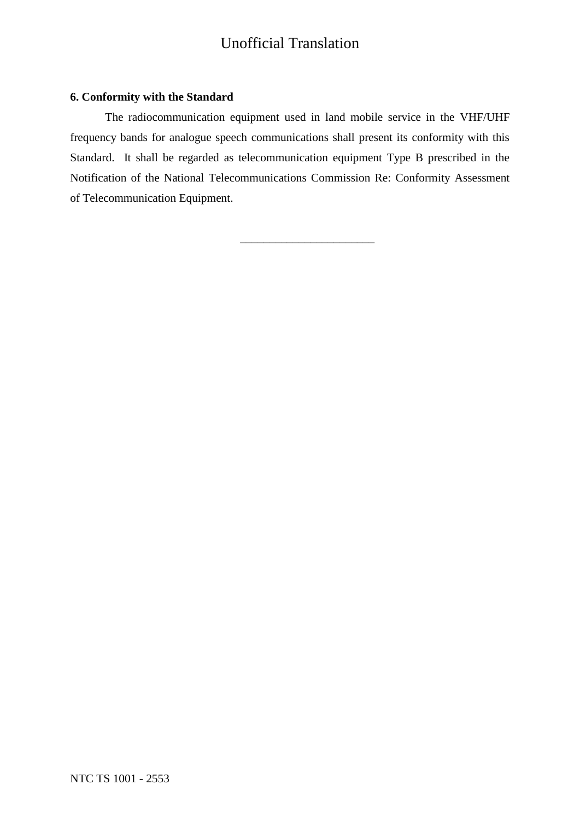#### <span id="page-9-0"></span>**6. Conformity with the Standard**

The radiocommunication equipment used in land mobile service in the VHF/UHF frequency bands for analogue speech communications shall present its conformity with this Standard. It shall be regarded as telecommunication equipment Type B prescribed in the Notification of the National Telecommunications Commission Re: Conformity Assessment of Telecommunication Equipment.

\_\_\_\_\_\_\_\_\_\_\_\_\_\_\_\_\_\_\_\_\_\_\_